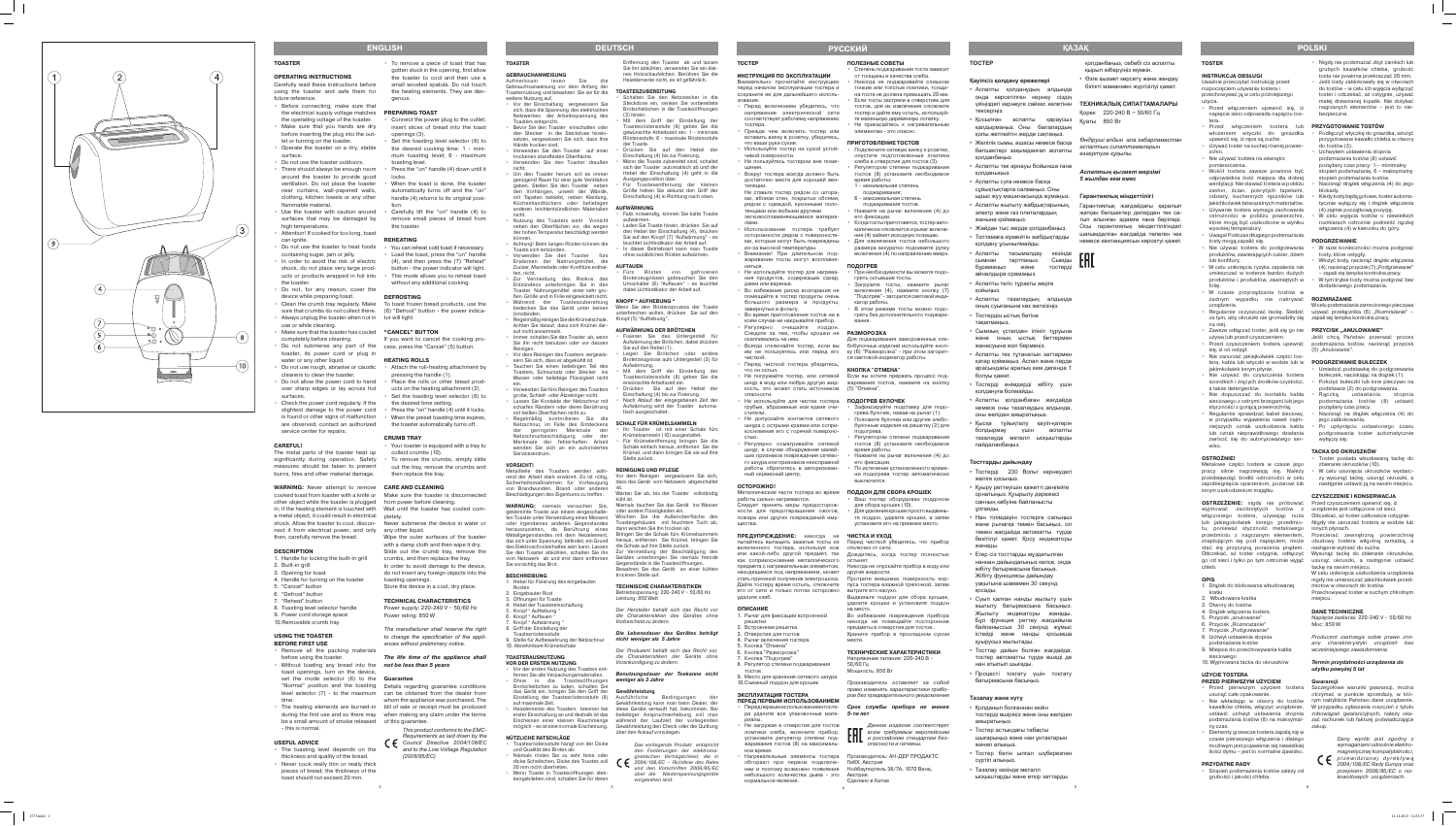#### **TOSTER**

#### **INSTRUKCJA OBSŁUGI**

Uważnie przeczytać instrukcję przed rozpoczęciem używania tostera i przechowywać ją w celu późniejszego

- użycia.
- Przed włączeniem upewnić się, iż napięcie sieci odpowiada napięciu tos tera.
- Przed włączeniem tostera lub **PRZYGOTOWANIE TOSTÓW**
- upewnić się, iż ręce są suche. • Używać toster na suchej równej powier zchni.
- Nie używać tostera na zewnątrz
- pomieszczenia. • Wokół tostera zawsze powinna być odpowiednia ilość miejsca dla dobrej wentylacji. Nie stawiać tostera w pobliżu zasłon, ścian, pokrytych tapetami, odzieży, kuchennych ręczników lub jakichkolwiek łatwopalnych materiałów.
- Używanie tostera wymaga zachowania ostrożności w pobliżu powierzchni, które mogą być uszkodzone w wyniku wysokiej temperatury.
- Uwaga! Podczas długiego podsmażania tosty mogą zapalić się.
- Nie używać tostera do podgrzewania produktów, zawierających cukier, dżem lub konfitury.
- W celu uniknięcia ryzyka zapalenia nie umieszczać w tosterze bardzo dużych produktów i produktów, zawiniętych w folię.
- W czasie przyrządzania tostów w żadnym wypadku nie nakrywać urządzenia.
- Regularnie oczyszczać tackę. Śledzić używać przełącznika (6) "Rozmrażanie" za tym, aby okruszki nie gromadziły się zapali się lampka kontrolna pracy. na niej.
- · Zawsze odłączać toster, jeśli się go nie **PRZYCISK "ANULOWANIE"** używa lub przed czyszczeniem.
- Przed czyszczeniem tostera upewnić się, iż on ostygł.
- Nie zanurzać jakiejkolwiek części tos tera, kabla lub wtyczki w wodzie lub w jakimkolwiek innym płynie.
- Nie używać do czyszczenia tostera szorstkich i żrących środków czystości, a także detergentów.
- Nie dopuszczać do kontaktu kabla sieciowego z ostrymi brzegami lub jego styczności z gorącą powierzchnią.
- Regularnie sprawdzać kabel sieciowy, w przypadku wyjawienia nawet najm niejszych oznak uszkodzenia kabla lub oznak nieprawidłowego działania zwrócić się do autoryzowanego ser wisu.

#### **OSTROŻNIE!**

Metalowe części tostera w czasie jego pracy silnie nagrzewają się. Należy przedsięwziąć środki ostrożności w celu zapobiegnięcia oparzeniom, pożarowi lub innym uszkodzeniom majątku.

- włożeniem wtyczki do gniazdka Podłączyć wtyczkę do gniazdka, włożyć przygotowane kawałki chleba w otwory do tostów (3).
	- Uchwytem ustawienia stopnia podsmażania tostów (8) ustawić
	- pożądany czas pracy: 1 minimalny stopień podsmażania, 6 – maksymalny
	- stopień podsmażania tostów. • Nacisnąć drążek włączenia (4) do jego
	- blokady. • Kiedy tosty będą gotowe, toster automa tycznie wyłączy się i drążek włączenia (4) zajmie początkową pozycję.
	- W celu wyjęcia tostów o niewielkich rozmiarach ostrożnie podnieść rączkę włączenia (4) w kierunku do góry.

**OSTRZEŻENIE:** nigdy nie próbować Przed czyszczeniem upewnić się, iż wyjmować zaciśniętych tostów z urządzenie jest odłączone od sieci. włączonego tostera, używając noża Odczekać, aż toster całkowicie ostygnie. lub jakiegokolwiek innego przedmio - Nigdy nie zanurzać tostera w wodzie lub tu, ponieważ styczność metalowego innych płynach. przedmiotu z nagrzanym elementem, Przecierać zewnętrzną powierzchnię znajdującym się pod napięciem, może obudowy tostera wilgotną szmatką, a stać się przyczyną porażenia prądem. następnie wytrzeć do sucha. chleb.

#### **OPIS**

- 1. Drążek do blokowania wbudowanej kratki
- 2. Wbudowana kratka
- 3. Otwory do tostów
- 4. Drążek włączenia tostera
- 5. Przycisk "anulowanie"
- 6. Przycisk "Rozmrażanie"
- 7. Przycisk "Podgrzewanie"
- 8. Uchwyt ustawienia stopnia
- podsmażania tostów 9. Miejsce do przechowywania kabla
- sieciowego
- 10. Wyjmowana tacka do okruszków

#### **UŻYCIE TOSTERA**

Przechowywać toster w suchym chłodnym miejscu.

- **PRZED PIERWSZYM UŻYCIEM** • Przed pierwszym użyciem tostera
- usunąć całe opakowanie. • Nie wkładając w otwory do tostów rym nabyliście Państwo dane urządzenie. W przypadku zgłaszania roszczeń z tytułu ny czas.
- Elementy grzewcze tostera zapalą się w czasie pierwszego włączenia i dlatego możliwym jest pojawienie się niewielkiej ilości dymu – jest to normalne zjawisko.

kawałków chleba, włączyć urządzenie, W przypadku zgłaszania roszczeń z tytułu ustawić uchwyt ustawienia stopnia zobowiązań gwarancyjnych, należy oka podsmażania tostów (8) na maksymal - zać rachunek lub fakturę poświadczające Szczegółowe warunki gwarancji, można otrzymać w punkcie sprzeda ży, w któ zakup.

#### **PRZYDATNE RADY**

• Stopień podsmażenia tostów zależy od grubości i jakości chleba.

- Nigdy nie podsmażać zbyt cienkich lub grubych kawałków chleba, grubość tosta nie powinna przekraczać 20 mm.
- Jeśli tosty zablokowały się w otworach do tostów – w celu ich wyjęcia wyłączyć toster i odczekać, aż ostygnie, używać małej drewnianej łopatki. Nie dotykać nagrzanych elementów – jest to nie bezpieczne.

• Аспапты тасымалдау кезінде гп сымнан тартпаңыз. Сымды бұрамаңыз және тостерді

Қысқа тұйықталу қауіп-қатерін болдырмау үшін аспапты тазалауда металл ысқыштарды

> Odczekać, aż toster ostygnie, odłączyć Wysunąć tackę do zbieranie okruszków, go od sieci i tylko po tym ostrożnie wyjąć usunąć okruszki, a następnie ustawić tackę na swoim miejscu.

#### **PODGRZEWANIE**

- W razie konieczności można podgrzać tosty, które ostygły. • Włożyć tosty, nacisnąć drążek włączenia
- (4), nacisnąć przycisk (7), Podgrzewanie" – zapali się lampka kontrolna pracy.
- W tym trybie tosty można podgrzać bez dodatkowego podsmażania.

#### **ROZMRAŻANIE**

W celu podsmażania zamrożonego pieczywa

Jeśli chcą Państwo przerwać proces podsmażania tostów, nacisnąć przycisk (5) "Anulowanie".

#### **PODGRZEWANIE BUŁECZEK**

- Umieścić podstawkę do podgrzewania bułeczek, naciskając na drążek (1).
- Położyć bułeczki lub inne pieczywo na podstawce (2) do podgrzewania. • Rączką ustawiania stopnia
- podsmażania tostów (8) ustawić pożądany czas pracy.
- Nacisnąć na drążek włączenia (4) do jego zablokowania.
- Po upłynięciu ustawionego czasu podgrzewania toster automatycznie wyłączy się.

#### **TACKA DO OKRUSZKÓW**

- Toster posiada wbudowaną tackę do zbieranie okruszków (10). • W celu usunięcia okruszków wystarc zy wysunąć tackę, usunąć okruszki, a
- następnie ustawić ją na swoim miejscu.

### **CZYSZCZENIE I KONSERWACJA**

W celu uniknięcia uszkodzenia urządzenia nigdy nie umieszczać jakichkolwiek przed miotów w otworach do tostów.

#### **DANE TECHNICZNE**

Napięcie zasilania: 220-240 V ~ 50/60 Hz Moc: 850 W

Producent zastrzega sobie prawo zmi any charakterystyki urządzeń bez wcześniejszego zawiadomienia.

#### **Termin przydatności urządzenia do użytku powyżej 5 lat**

#### **Gwarancji**

Не загружая в отверстия для тостов ломтики хлеба, включите прибор,

> Dany wyrób jest zgodny z wymaganiami odnośnie elektro magnetycznej kompatybilności, przewidzianej dvrektywa 2004/108/EC Rady Europy oraz przepisem 2006/95/EC o niz kowoltowych urządzeniach.

**ТОСТЕР** 

**Қауіпсіз қолдану ережелері** 

• Аспапты қолданудың алдында онда көрсетілген кернеу сіздің

тексеріңіз.

қалдырмаңыз. Оны балалардың қолы жетпейтін жерде сақтаңыз. • Желілік сымы, ашасы немесе басқа бөлшектері зақымданғап аспапты

қолданбаңыз.

• Аспапты тек арнауы бойынша ғана

қолданыңыз.

• Аспапты суға немесе басқа сұйықтықтарға салмаңыз. Оны ыдыс жуу машинасында жумаңыз. • Аспапты жылыту жабдықтарының, электр және газ плиталардың

жанына қоймаңыз.

• Всегда отключайте тостер, если вы бобулочных изделий используйте кнопим не пользуетесь или перед его ку (6) "Разморозка" - при этом загорит-Для поджаривания замороженных хле ся световой индикатор работы.

• Жайдан тыс жерде қолданбаңыз. • Топтамаға кірмейтін жабдықтарды

• Не погружайте тостер, или сетевой Если вы хотите прервать процесс подшнур в воду или любую другую жид - жаривания тостов, нажмите на кнопку кость, это может стать источником (5) "Отмена".

қолдану ұсынылмайды.

айналдыра орамаңыз. • Аспапты тегіс тұрақты жерге

қойыңыз.

- грубые, абразивные или едкие очи- Зафиксируйте подставку для подогрева булочек, нажав на рычаг (1). • Положите булочки или другие хлебобулочные изделия на решетку (2) для
	- подогрева. • Регулятором степени поджаривания тостов (8) установите необходимое
	- время работы. • Нажмите на рычаг включения (4) до его фиксации.
	- По истечении установленного време ни подогрева тостер автоматически выключится.

• Аспапты тазалаудың алдында оның суығанына көз жеткізіңіз.

• Тостердің ыстық бетіне

тақалмаңыз.

• Сымның үстелден ілініп тұруына және оның ыстық беттермен

жанасуына жол бермеңіз.

• Аспапты тез тұтанатын заттармен қатар қоймаңыз. Аспап және перде арасындағы аралық кем дегенде 1

болуы қажет.

• Қосылған аспапты қараусыз қ<sub>У</sub>аты 850Вт

• Тостерді өнімдерді жібіту үшін

қолдануға болмайды.

• Аспапты қолданбаған жағдайда немесе оны тазалаудың алдында,

оны желіден ажыратыңыз.

Данное изделие соответствует **ПП** всем требуемым европейским пайдаланбаңыз.

үйіңіздегі кернеуге сәйкес келетінін **ТЕХНИКАЛЫҚ СИПАТТАМАЛАРЫ**

**Тосттарды дайындау**

• Тостерді 230 Вольт кернеудегі

желіге қосыңыз.

• Қуыру реттеуішін қажетті деңгейге орнатыңыз. Қуырылу дәрежесі санның көбуіне байланысты

Aufmerksam lesen Sie Gebrauchsanweisung vor dem Anfang der Toasternutzung und bewahren Sie sie für die

ұлғаяды.

• Нан тілімдерін тостерге салыңыз және рычагқа төмен басыңыз, ол төмен жағдайда автоматты түрде бекітілуі қажет. Қосу индикаторы

жанады.

• Егер сіз тосттарды мұздатылған наннан дайындағыңыз келсе, онда жібіту батырмасына басыңыз. Жібіту функциясы дайындау уақытына шамамен 30 секунд

қосады.

• Суып қалған нанды жылыту үшін жылыту батырмасына басыңыз. Жылыту индикаторы жанады. Бұл функция реттеу жағдайына байланыссыз 30 секунд жұмыс істейді және нанды қосымша

қуырусыз жылытады.

• Тосттар дайын болған жағдайда, тостер автоматты түрде өшеді де

нан атылып шығады.

• Процесті тоқтату үшін тоқтату

батырмасына басыңыз.

**Тазалау және күту**

• Қолданып болғаннан кейін

тостерді өшіріңіз және оны желіден

ажыратыңыз.

• Тостер астындағы табақты

шығарыңыз және нан ұнтақтарын

жинап алыңыз.

• Тостер бетін ылғал шүберекпен

сүртіп алыңыз.

• Тазалау кезінде металл

ысқыштарды және өткір заттарды

қолданбаңыз, себебі сіз аспапты

қырып жіберуіңіз мүмкін.

Қорек 220-240 В ~ 50/60 Гц

• Өзге қызмет көрсету және жөндеу білікті маманмен жүргізілуі қажет.

Metallteile des Toasters werden wäh- **REINIGUNG UND PFLEGE** rend der Arbeit stark erwärmt. Es ist nötig, Vor dem Reinigen vergewissern Sie sich, von Brandwunden, Brand oder anderen Beschädigungen des Eigentums zu treffen.

*Өндіруші алдын ала хабарламастан аспаптың сипаттамаларын* 

*өзгертуге құқылы.*

*Аспаптың қызмет мерзімі* 

*5 жылдан кем емес* 

**Гарантиялық мiндеттiлiгi**

geklemmte Toaste aus einem eingeschalte- oder andere Flüssigkeiten ein. herauszuziehen, da Berührung eines dann wischen Sie ihn trocken ab. des Elektroschockerhaltes sein kann. Lassen die Schale auf ihre Stelle zurück. Sie vorsichtig das Brot.

Гарантиялық жағдайдағы қаралып жатқан бөлшектер дилерден тек са тып алынған адамға ғана берiледi. Осы гарантиялық мiндеттiлiгiндегi шағымдалған жағдайда төлеген чек немесе квитанциясын көрсетуi қажет.

5. Knopf " Aufhebung " 6. Knopf " Auftauen 7. Knopf " Aufwärmung " 8. Griff der Einstellung der stesröstensstufe

**Қ а зақ**

5

**ТОСТЕР** 

**ИНСТРУКЦИЯ ПО ЭКСПЛУАТАЦИИ** Внимательно прочитайте инструкцию перед началом эксплуатации тостера и сохраните ее для дальнейшего исполь -

зования.

• Перед включением убедитесь, что напряжение электрической сети соответствует рабочему напряжению

• Wenn Toaste in Toastesöffnungen stekkengeblieben sind, schalten Sie für deren чивой поверхности.

• Не пользуйтесь тостером вне поме-

щения.

• Вокруг тостера всегда должно быть достаточно места для хорошей вен -

тиляции.

Не ставьте тостер рядом со штора ми, вблизи стен, покрытых обоями, рядом с одеждой, кухонными поло тенцами или любыми другими легковоспламеняющимися материа -

лами.

• Использование тостера требует осторожности рядом с поверхностя ми, которые могут быть повреждены

из-за высокой температуры. • Внимание! При длительном поджаривании тосты могут воспламе-

ниться.

• Не используйте тостер для нагревания продуктов, содержащих сахар,

джем или варенье.

• Во избежание риска возгорания не помещайте в тостер продукты очень большого размера и продукты,

- Fixieren Sie das Untergestell für Aufwärmung der Brötchen, dabei drücken Sie auf den Hebel (1).
- Legen Sie Brötchen oder andere Broterzeugnisse aufs Untergestell (2) für Aufwärmung.
- Toastesröstensstufe (8) geben Sie die erwünschte Arbeitszeit ein.
- Drücken Sie auf den Hebel der Einschaltung (4) bis zur Fixierung.
- isch ausgeschaltet.

завернутые в фольгу.

• Во время приготовления тостов ни в коем случае не накрывайте прибор. Регулярно очищайте поддон Следите за тем, чтобы крошки не

Перед чисткой тостера убедитесь

скапливались на нем.

чисткой.

что он остыл.

опасности.

стители.

• Не допускайте контактов сетевого шнура с острыми краями или сопри косновения его с горячей поверхно -

стью.

• Регулярно осматривайте сетевой шнур, в случае обнаружения малей ших признаков повреждения сетево го шнура или признаков неисправной работы обратитесь в авторизован -

ный сервисный центр.

**ОСТОРОЖНО!**

работы сильно нагреваются.

Следует принять меры предосторож ности для предотвращения ожогов, пожара или других повреждений иму -

щества.

удалите хлеб. **ОПИСАНИЕ**

1. Рычаг для фиксации встроенной

решетки

2. Встроенная решетка 3. Отверстия для тостов 4. Рычаг включения тостера 5. Кнопка "Отмена" 6. Кнопка "Разморозка" 7. Кнопка "Подогрев"

8. Регулятор степени поджаривания

тостов

9. Место для хранения сетевого шнура 10.Съемный поддон для крошек **ЭКСПЛУАТАЦИЯ ТОСТЕРА**

**ПЕРЕД ПЕРВЫМ ИСПОЛЬЗОВАНИЕМ**

жаривания тостов (8) на максималь -

ное время.

#### • Не используйте для чистки тостера **ПОДОГРЕВ БУЛОЧЕК**

нормальное явление.

#### **ПОЛЕЗНЫЕ СОВЕТЫ**

- Степень поджаривания тоста зависит от толщины и качества хлеба. • Никогда не поджаривайте слишком
- тонкие или толстые ломтики, толщи на тоста не должна превышать 20 мм. • Если тосты застряли в отверстиях для тостов, для их извлечения отключите

#### Металлические части тостера во время **ПОДДОН ДЛЯ СБОРА КРОШЕК**

- тостер и дайте ему остыть, используй те маленькую деревянную лопатку. • Не прикасайтесь к нагревательным
- элементам это опасно.

### **ПРИГОТОВЛЕНИЕ ТОСТОВ**

**ПРЕДУПРЕЖДЕНИЕ:** никогда не **ЧИСТКА И УХОД**

пытайтесь вытащить зажатые тосты из Перед чисткой убедитесь, что прибор

включенного тостера, используя нож отключен от сети.

или какой-либо другой предмет, так Дождитесь, когда тостер полностью

как соприкосновение металлического остынет.

предмета с нагревательным элементом, Никогда не опускайте прибор в воду или

находящимся под напряжением, может другие жидкости.

- Подключите сетевую вилку к розетке, опустите подготовленные ломтики хлеба в отверстия для тостов (3). • Регулятором степени поджаривания тостов (8) установите необходимое
- время работы: 1 - минимальная степень
- поджаривания;
- 6 максимальная степень
- поджаривания тостов. • Нажмите на рычаг включения (4) до его фиксации.
- Когда тосты приготовятся, тостер авто матически отключится и рычаг включе ния (4) займет исходную позицию.
- Для извлечения тостов небольшого размера аккуратно поднимите ручку включения (4) по направлению вверх.

стать причиной получения электрошока. Протрите внешнюю поверхность кор - Дайте тостеру время остыть, отключите пуса тостера влажной тряпочкой, затем

его от сети и только потом осторожно вытрите его насухо.

-

#### **ПОДОГРЕВ**

- При необходимости вы можете подо греть остывшие тосты.
- Загрузите тосты, нажмите рычаг включения (4), нажмите кнопку (7) "Подогрев" - загорится световой инди катор работы.
- В этом режиме тосты можно подо греть без дополнительного поджари вания.

ра удалите все упаковочные мате-**5-ти лет**

обгорают при первом подключе- ГмбХ, Австрия

#### **РАЗМОРОЗКА**

• Нагревательные элементы тостера Производитель: АН-ДЕР ПРОДАКТС

#### **КНОПКА "ОТМЕНА"**

нии и поэтому возможно появление Нойбаугюртель 38/7А, 1070 Вена,

небольшого количества дыма - это Австрия

• Ваш тостер оборудован поддоном

для сбора крошек (10).

• Для удаления крошек просто выдвинь те поддон, удалите крошки, а затем установите его на прежнее место.

Выдвиньте поддон для сбора крошек, удалите крошки и установите поддон

на место.

Во избежание повреждения прибора никогда не помещайте посторонние предметы в отверстия для тостов. Храните прибор в прохладном сухом

месте.

**ТЕХНИЧЕСКИЕ ХАРАКТЕРИСТИКИ**  Напряжение питания: 220-240 В ~

50/60 Гц

Мощность: 850 Вт

Производитель оставляет за собой право изменять характеристики прибо ров без предварительного уведомления

опасности и гигиены.

Сделано в Китае

• Передпервымиспользованием тосте- Срок службы прибора не менее

установите регулятор степени под- **[[] и российским стандартам без-**

## **русски й**

4

#### **TOASTER**

### **GEBRAUCHANWEISUNG**

- weitere Nutzung auf. • Vor der Einschaltung vergewissern Sie sich, dass die Spannung des elektrischen Netzwerkes der Arbeitsspannung des sters entspricht.
- Bevor Sie den Toaster einschalten oder den Stecker in die Steckdose hinein setzen, vergewissern Sie sich, dass Ihre Hände trocken sind.
- Verwenden Sie den Toaster auf einer trockenen standfesten Oberfläche. • Verwenden Sie den Toaster draußen
- nicht. • Um den Toaster herum soll es immer genügend Raum für eine gute Ventilation geben. Stellen Sie den Toaster neben den Vorhängen, unweit der Wände, mit Tapeten beklebt, neben Kleidung, Küchenhandtüchern oder beliebige anderen leichtentzündlichen Materialien
- nicht. • Nutzung des Toasters sieht Vorsicht neben den Oberflächen vor, die wegen der hohen Temperatur beschädigt werden können.
- Achtung! Beim langen Rösten können die Toaste sich entzünden.
- Verwenden Sie den Toaster fürs Erwärmen der Nahrungsmittel, die Zucker, Marmelade oder Konfitüre enthal - **AUFTAUEN** ten, nicht.
- Zur Vermeidung des Risikos des Entzündens unterbringen Sie in den Toaster Nahrungsmittel einer sehr gro ßen Größe und in Folie eingewickelt nicht.
- Während der Toasteszubereitung bedecken Sie das Gerät unter keinen Umständen. • Regelmäßig reinigen Sie die Krümelschale.
- Achten Sie darauf, dass sich Krümel dar auf nicht ansammeln. Immer schalten Sie den Toaster ab, wenn
- Sie ihn nicht benutzen oder vor dessen Reinigen. • Vor dem Reinigen des Toasters vergewis -
- sern Sie sich, dass er abgekühlt ist. • Tauchen Sie einen beliebigen Teil des Toasters, Schnursatz oder Stecker ins Wasser oder beliebige Flüssigkeit nicht ein.
- Verwenden Sie fürs Reinigen des Toasters grobe, Schleif- oder Ätzreiniger nicht. • Lassen Sie Kontakte der Netzschnur mit scharfen Rändern oder deren Berührung
- mit heißen Oberflächen nicht zu. • Regelmäßig kontrollieren Sie die der geringsten Merkmale der Netzschnurbeschädigung oder der Merkmale der fehlerhaften Arbeit wenden Sie sich an ein autorisiertes Servicezentrum.

#### **VORSICHT!**

#### **BESCHREIBUNG**

- 1. Hebel für Fixierung des eingebauten Rostes
- 2. Eingebauter Rost

3. Öffnungen für Toaste 4. Hebel der Toastereinschaltung

10. Abnehmbare Krümelschale **TOASTERAUSNUTZUNG VOR DER ERSTEN NUTZUNG**

• Vor der ersten Nutzung des Toasters ent fernen Sie alle Verpackungsmaterialien. • Ohne in die Toastesöffnungen Brotscheibchen zu laden, schalten Sie

#### - **AUFWÄRMUNG DER BRÖTCHEN**

auf maximale Zeit.

**NÜTZLICHE RATSCHLÄGE**

• Toastesröstensstufe hängt von der Dicke • Niemals rösten Sie zu sehr feine oder

und Qualität des Brotes ab.

20 mm nicht übertreten.

#### Netzschnur, im Falle des Entdeckens **SCHALE FÜR KRÜMELSAMMELN**

Entfernung den Toaster ab und lassen Sie ihn abkühlen, verwenden Sie ein klei nes Holzschaufelchen. Berühren Sie die Heizelemente nicht, es ist gefährlich.

#### **TOASTESZUBEREITUNG**

Sicherheitsmaßnahmen für Vorbeugung dass das Gerät vom Netzwerk abgeschaltet ist. Warten Sie ab, bis der Toaster vollständig

- Schalten Sie den Netzstecker in die Steckdose ein, senken Sie vorbereitete Brotscheibchen in die Toastesöffnungen Mit dem Griff der Einstellung der Toastesröstensstufe (8) geben Sie die
- тостера. • Прежде чем включить тостер или вставить вилку в розетку, убедитесь что ваши руки сухие. • Используйте тостер на сухой устойgewünschte Arbeitszeit ein: 1 - minimale Röstensstufe; 6 - maximale Röstensstufe

**WARNUNG:** niemals versuchen Sie, Niemals tauchen Sie das Gerät ins Wasser kühl ist.

ten Toaster unter Verwendung eines Messers Wischen Sie die Außenoberfläche des oder irgendeines anderen Gegenstandes Toastergehäuses mit feuchtem Tuch ab, Metallgegenstandes mit dem Heizelement, Bringen Sie die Schale fürs Krümelsammeln

- (3) hinein.
- der Toaste. • Drücken Sie auf den Hebel der
- Einschaltung (4) bis zur Fixierung. • Wenn die Toaste zubereitet sind, schaltet sich der Toaster automatisch ab und der Hebel der Einschaltung (4) geht in die
- Einschaltung (4) in Richtung nach oben.

das sich unter Spannung befindet, ein Grund heraus, entfernen Sie Krümel, bringen Sie

- 
- Ausgangsposition über. • Für Toastesentfernung der kleinen Größe heben Sie akkurat den Griff der

Sie den Toaster abkühlen, schalten Sie ihn Zur Vermeidung der Beschädigung des vom Netzwerk ab und erst dann entfernen Gerätes unterbringen Sie niemals fremde Gegenstände in die Toastesöffnungen. Bewahren Sie das Gerät an einer kühlen

### **AUFWÄRMUNG**

- Falls notwendig, können Sie kalte Toaste • Laden Sie Toaste hinein, drücken Sie auf den Hebel der Einschaltung (4), drücken Sie auf den Knopf (7) "Aufwärmung" - es
- leuchtet Lichtindikator der Arbeit auf. • In dieser Betriebsart kann man Toaste

- aufwärmen.
- ohne zusätzliches Rösten aufwärmen.

#### 9. Stelle für Aufbewahrung der Netzschnur **nicht weniger als 5 Jahre**

• Fürs Rösten von gefrorenen

Broterzeugnissen gebrauchen Sie den Umschalter (6) "Auftauen" - es leuchtet dabei Lichtindikator der Arbeit auf.

#### **KNOPF " AUFHEBUNG "**

### das Gerät ein, bringen Sie den Griff der **Gewährleistung**

Wenn Sie den Röstensprozess der Toaste unterbrechen wollen, drücken Sie auf den Knopf (5) "Aufhebung".

Einstellung der Toastesröstensstufe (8) Ausführliche Bedingungen der • Heizelemente des Toasters brennen bei diese Geräte verkauft hat, bekommen. Bei erster Einschaltung an und deshalb ist das beliebiger Anspruchserhebung soll man Erscheinen einer kleinen Rauchmenge während der Laufzeit der vorliegenden möglich – es ist eine normale Erscheinung. Gewährleistung den Check oder die Quittung Gewährleistung kann man beim Dealer, der

- 
- Mit dem Griff der Einstellung der
- 
- Nach Ablauf der eingegebenen Zeit der Aufwärmung wird der Toaster automa -

dicke Scheibchen, Dicke des Toastes soll 2004/108/EC – Richtlinie des Rates Das vorliegende Produkt entspricht den Forderungen der elektroma gnetischen Verträglichkeit, die in und den Vorschriften 2006/95/EC über die Niederspannungsgeräte vorgesehen sind.

- Ihr Toaster ist mit einer Schale fürs
- Krümel, und dann bringen Sie sie auf ihre

- Krümelsammeln (10) ausgestattet. • Für Krümelentfernung bringen Sie die
- Schale einfach heraus, entfernen Sie die Stelle zurück.

trocknen Stelle auf.

**TECHNISCHE CHARAKTERISTIKEN**  Betriebsspannung: 220-240 V ~ 50/60 Hz

# Leistung: 850 Watt

Der Hersteller behält sich das Recht vor die Charakteristiken des Gerätes ohne Vorbescheid zu ändern.

# **Die Lebensdauer des Gerätes beträgt**

## Der Produzent behält sich das Recht vor, die Charakteristiken der Geräte ohne

Vorankündigung zu ändern.

**Benutzungsdauer der Teekanne nicht** 

# **weniger als 3 Jahre**

über den Ankauf vorzulegen.

### **DEUTSCH**

3



### **TOASTER**

### **OPERATING INSTRUCTIONS**

Carefully read these instructions before using the toaster and safe them for future reference.

- Before connecting, make sure that the electrical supply voltage matches **PREPARING TOAST** • Make sure that you hands are dry
- before inserting the plug into the out let or turning on the toaster.
- Operate the toaster on a dry, stable surface.
- Do not use the toaster outdoors.
- around the toaster to provide good near curtains, wall-papered walls, clothing, kitchen towels or any other flammable material.
- Use the toaster with caution around surfaces that may be damaged by high temperatures.
- Attention! If cooked for too long, toast can ignite.
- Do not use the toaster to heat foods containing sugar, jam or jelly.
- In order to avoid the risk of electric shock, do not place very large prod ucts or products wrapped in foil into  $\cdot$  This mode allows you to reheat toast the toaster.
- Do not, for any reason, cover the
- device while preparing toast.
- Always unplug the toaster when not in tor will light.
- use or while cleaning.
- completely before cleaning.
- toaster, its power cord or plug in water or any other liquid.
- cleaners to clean the toaster.
- Do not allow the power cord to hand Place the rolls or other bread prodover sharp edges or lay across hot surfaces.
- Check the power cord regularly. If the the desired time setting. is found or other signs of malfunction  $\cdot$  When the preset toasting time expires, are observed, contact an authorized service center for repairs.

#### **CAREFUL!**

The metal parts of the toaster heat up significantly during operation. Safety measures should be taken to prevent burns, fires and other material damage.

- the operating voltage of the toaster. Connect the power plug to the outlet; insert slices of bread into the toast openings (3)
	- Set the toasting level selector (8) to the desired cooking time: 1 - mini mum toasting level; 6 - maximum
- There should always be enough room Press the "on" handle (4) down until it toasting level. locks.
- ventilation. Do not place the toaster  $\cdot$  When the toast is done, the toaster automatically turns off and the "on" handle (4) returns to its original posi tion.
	- Carefully lift the "on" handle (4) to remove small pieces of bread from the toaster.

**WARNING:** Never attempt to remove **CARE AND CLEANING** other object while the toaster is plugged from power before cleaning. in; if the heating element is touched with Wait until the toaster has cooled com a metal object, it could result in electrical pletely. nect it from electrical power, and only any other liquid. then, carefully remove the bread.

### **DESCRIPTION**

- 1. Handle for locking the built-in grill
- 2. Built-in grill
- 3. Opening for toast 4. Handle for turning on the toaster
- 5. "Cancel" button
- 6. "Defrost" button
- 7. "Reheat" button
- 8. Toasting level selector handle
- 9. Power cord storage space
- 10.Removable crumb tray

#### **USING THE TOASTER BEFORE FIRST USE**

• Clean the crumb tray regularly. Make To toast frozen bread products, use the sure that crumbs do not collect there. (6) "Defrost" button - the power indica -

#### • Make sure that the toaster has cooled **"CANCEL" BUTTON**

- Remove all the packing materials before using the toaster.
- Without loading any bread into the **not be less than 5 years** toast openings, turn on the device, set the mode selector (6) to the **Guarantee**  time.
- The heating elements are burned-in bill of sale or receipt must be produced be a small amount of smoke released of this guarantee. - this is normal.

#### **USEFUL ADVICE**

- Do not submerse any part of the cess, press the "Cancel" (5) button. If you want to cancel the cooking pro - **HEATING ROLLS**
- Do not use rough, abrasive or caustic Attach the roll-heating attachment by pressing the handle (1).
	- ucts on the heating attachment (2). • Set the toasting level selector (8) to
- slightest damage to the power cord  $\cdot$  Press the "on" handle (4) until it locks.
	- the toaster automatically turns off.

• The toasting level depends on the thickness and quality of the bread. • Never cook really thin or really thick pieces of bread; the thickness of the toast should not exceed 20 mm.

#### • To remove a piece of toast that has gotten stuck in the opening, first allow the toaster to cool and then use a small wooded spatula. Do not touch the heating elements. They are dan gerous.

- cooked toast from toaster with a knife or Make sure the toaster is disconnected
	-

shock. Allow the toaster to cool, discon - Never submerse the device in water or

#### **REHEATING**

- You can reheat cold toast if necessary. • Load the toast, press the "on" handle (4), and then press the (7) "Reheat" button - the power indicator will light.
- without any additional cooking.

#### **DEFROSTING**

"Normal" position and the toasting Details regarding guarantee conditions level selector (7) - to the maximum can be obtained from the dealer from during the first use and so there may when making any claim under the terms whom the appliance was purchased. The

### **CRUMB TRAY**

- Your toaster is equipped with a tray to collect crumbs (10).
- To remove the crumbs, simply slide out the tray, remove the crumbs and then replace the tray.

Wipe the outer surfaces of the toaster with a damp cloth and then wipe it dry. Slide out the crumb tray, remove the

crumbs, and then replace the tray. In order to avoid damage to the device, do not insert any foreign objects into the toasting openings.

Store the device in a cool, dry pla

# **TECHNICAL CHARACTERISTICS**

Power supply: 220-240 V ~ 50/60 Hz Power rating: 850 W

*The manufacturer shall reserve the right to change the specification of the appli ances without preliminary notice.*

# **The life time of the appliance shall**

*This product conforms to the EMC-Requirements as laid down by the Council Directive 2004/108/ЕС and to the Low Voltage Regulation (2006/95/ЕС)*

**ENGLISH**

2